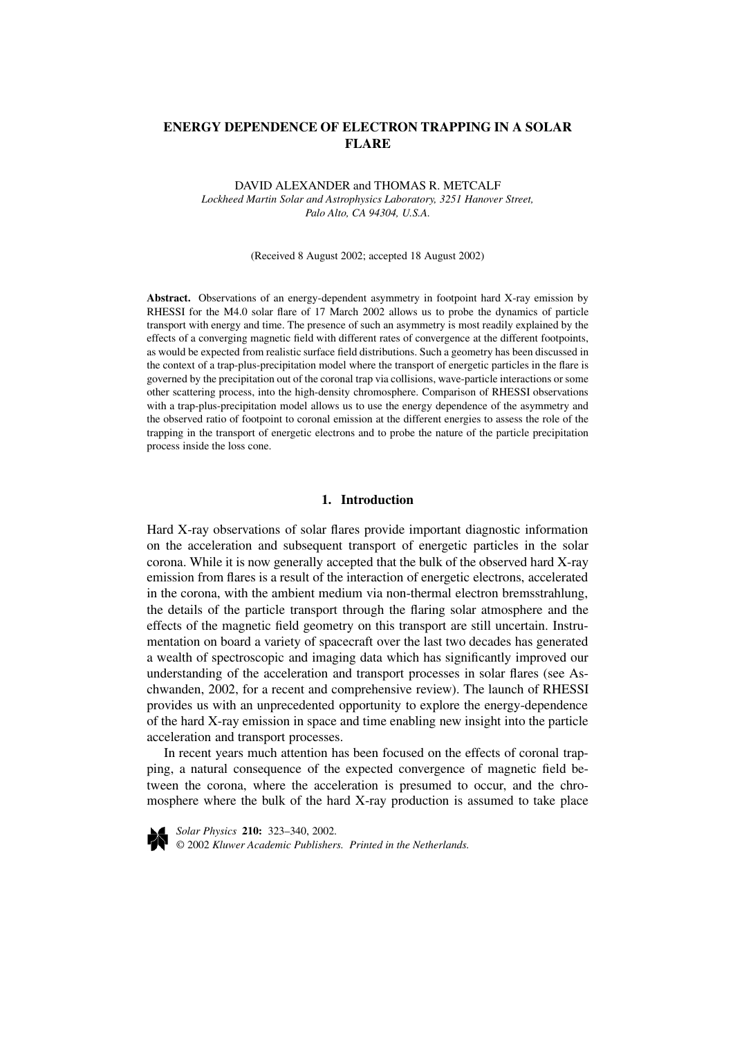# **ENERGY DEPENDENCE OF ELECTRON TRAPPING IN A SOLAR FLARE**

DAVID ALEXANDER and THOMAS R. METCALF *Lockheed Martin Solar and Astrophysics Laboratory, 3251 Hanover Street, Palo Alto, CA 94304, U.S.A.*

(Received 8 August 2002; accepted 18 August 2002)

**Abstract.** Observations of an energy-dependent asymmetry in footpoint hard X-ray emission by RHESSI for the M4.0 solar flare of 17 March 2002 allows us to probe the dynamics of particle transport with energy and time. The presence of such an asymmetry is most readily explained by the effects of a converging magnetic field with different rates of convergence at the different footpoints, as would be expected from realistic surface field distributions. Such a geometry has been discussed in the context of a trap-plus-precipitation model where the transport of energetic particles in the flare is governed by the precipitation out of the coronal trap via collisions, wave-particle interactions or some other scattering process, into the high-density chromosphere. Comparison of RHESSI observations with a trap-plus-precipitation model allows us to use the energy dependence of the asymmetry and the observed ratio of footpoint to coronal emission at the different energies to assess the role of the trapping in the transport of energetic electrons and to probe the nature of the particle precipitation process inside the loss cone.

# **1. Introduction**

Hard X-ray observations of solar flares provide important diagnostic information on the acceleration and subsequent transport of energetic particles in the solar corona. While it is now generally accepted that the bulk of the observed hard X-ray emission from flares is a result of the interaction of energetic electrons, accelerated in the corona, with the ambient medium via non-thermal electron bremsstrahlung, the details of the particle transport through the flaring solar atmosphere and the effects of the magnetic field geometry on this transport are still uncertain. Instrumentation on board a variety of spacecraft over the last two decades has generated a wealth of spectroscopic and imaging data which has significantly improved our understanding of the acceleration and transport processes in solar flares (see Aschwanden, 2002, for a recent and comprehensive review). The launch of RHESSI provides us with an unprecedented opportunity to explore the energy-dependence of the hard X-ray emission in space and time enabling new insight into the particle acceleration and transport processes.

In recent years much attention has been focused on the effects of coronal trapping, a natural consequence of the expected convergence of magnetic field between the corona, where the acceleration is presumed to occur, and the chromosphere where the bulk of the hard X-ray production is assumed to take place

*Solar Physics* **210:** 323–340, 2002. © 2002 *Kluwer Academic Publishers. Printed in the Netherlands.*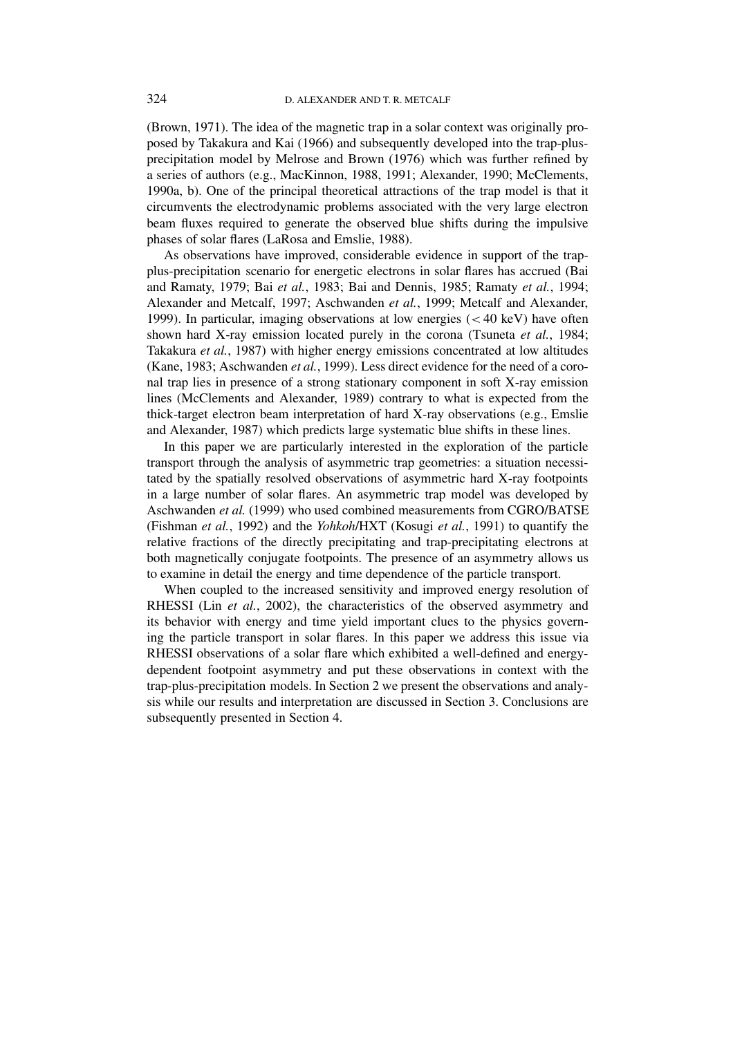(Brown, 1971). The idea of the magnetic trap in a solar context was originally proposed by Takakura and Kai (1966) and subsequently developed into the trap-plusprecipitation model by Melrose and Brown (1976) which was further refined by a series of authors (e.g., MacKinnon, 1988, 1991; Alexander, 1990; McClements, 1990a, b). One of the principal theoretical attractions of the trap model is that it circumvents the electrodynamic problems associated with the very large electron beam fluxes required to generate the observed blue shifts during the impulsive phases of solar flares (LaRosa and Emslie, 1988).

As observations have improved, considerable evidence in support of the trapplus-precipitation scenario for energetic electrons in solar flares has accrued (Bai and Ramaty, 1979; Bai *et al.*, 1983; Bai and Dennis, 1985; Ramaty *et al.*, 1994; Alexander and Metcalf, 1997; Aschwanden *et al.*, 1999; Metcalf and Alexander, 1999). In particular, imaging observations at low energies (*<* 40 keV) have often shown hard X-ray emission located purely in the corona (Tsuneta *et al.*, 1984; Takakura *et al.*, 1987) with higher energy emissions concentrated at low altitudes (Kane, 1983; Aschwanden *et al.*, 1999). Less direct evidence for the need of a coronal trap lies in presence of a strong stationary component in soft X-ray emission lines (McClements and Alexander, 1989) contrary to what is expected from the thick-target electron beam interpretation of hard X-ray observations (e.g., Emslie and Alexander, 1987) which predicts large systematic blue shifts in these lines.

In this paper we are particularly interested in the exploration of the particle transport through the analysis of asymmetric trap geometries: a situation necessitated by the spatially resolved observations of asymmetric hard X-ray footpoints in a large number of solar flares. An asymmetric trap model was developed by Aschwanden *et al.* (1999) who used combined measurements from CGRO/BATSE (Fishman *et al.*, 1992) and the *Yohkoh*/HXT (Kosugi *et al.*, 1991) to quantify the relative fractions of the directly precipitating and trap-precipitating electrons at both magnetically conjugate footpoints. The presence of an asymmetry allows us to examine in detail the energy and time dependence of the particle transport.

When coupled to the increased sensitivity and improved energy resolution of RHESSI (Lin *et al.*, 2002), the characteristics of the observed asymmetry and its behavior with energy and time yield important clues to the physics governing the particle transport in solar flares. In this paper we address this issue via RHESSI observations of a solar flare which exhibited a well-defined and energydependent footpoint asymmetry and put these observations in context with the trap-plus-precipitation models. In Section 2 we present the observations and analysis while our results and interpretation are discussed in Section 3. Conclusions are subsequently presented in Section 4.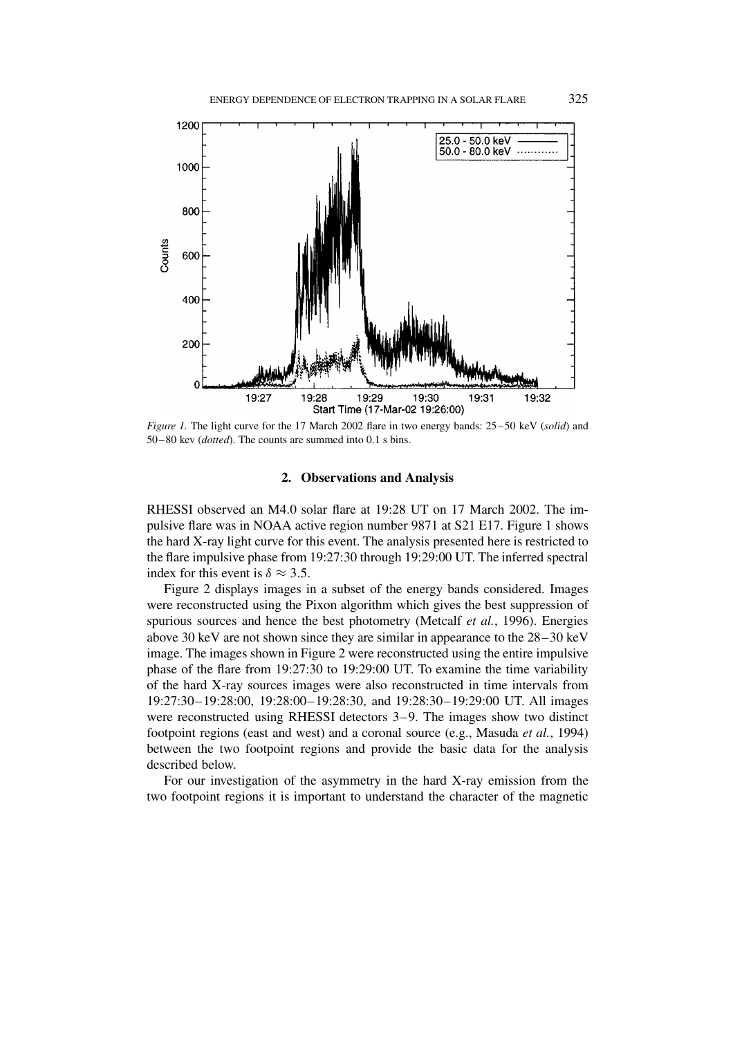

*Figure 1.* The light curve for the 17 March 2002 flare in two energy bands: 25–50 keV (*solid*) and 50–80 kev (*dotted*). The counts are summed into 0.1 s bins.

# **2. Observations and Analysis**

RHESSI observed an M4.0 solar flare at 19:28 UT on 17 March 2002. The impulsive flare was in NOAA active region number 9871 at S21 E17. Figure 1 shows the hard X-ray light curve for this event. The analysis presented here is restricted to the flare impulsive phase from 19:27:30 through 19:29:00 UT. The inferred spectral index for this event is  $\delta \approx 3.5$ .

Figure 2 displays images in a subset of the energy bands considered. Images were reconstructed using the Pixon algorithm which gives the best suppression of spurious sources and hence the best photometry (Metcalf *et al.*, 1996). Energies above 30 keV are not shown since they are similar in appearance to the 28–30 keV image. The images shown in Figure 2 were reconstructed using the entire impulsive phase of the flare from 19:27:30 to 19:29:00 UT. To examine the time variability of the hard X-ray sources images were also reconstructed in time intervals from 19:27:30–19:28:00, 19:28:00–19:28:30, and 19:28:30–19:29:00 UT. All images were reconstructed using RHESSI detectors 3–9. The images show two distinct footpoint regions (east and west) and a coronal source (e.g., Masuda *et al.*, 1994) between the two footpoint regions and provide the basic data for the analysis described below.

For our investigation of the asymmetry in the hard X-ray emission from the two footpoint regions it is important to understand the character of the magnetic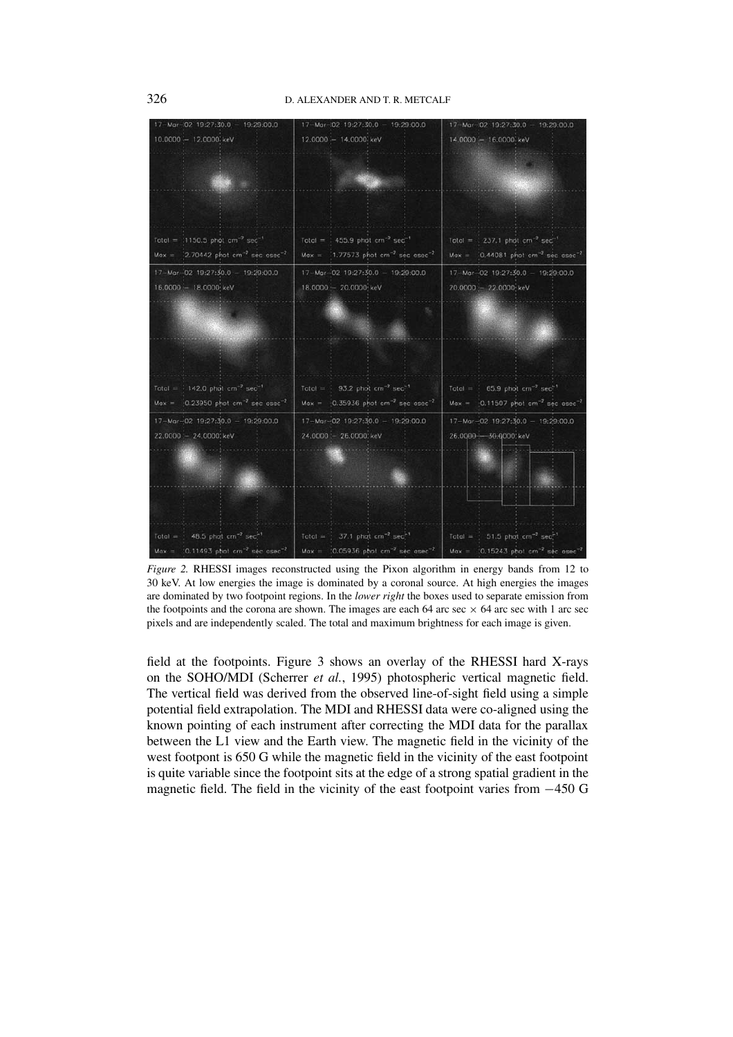

*Figure 2.* RHESSI images reconstructed using the Pixon algorithm in energy bands from 12 to 30 keV. At low energies the image is dominated by a coronal source. At high energies the images are dominated by two footpoint regions. In the *lower right* the boxes used to separate emission from the footpoints and the corona are shown. The images are each 64 arc sec  $\times$  64 arc sec with 1 arc sec pixels and are independently scaled. The total and maximum brightness for each image is given.

field at the footpoints. Figure 3 shows an overlay of the RHESSI hard X-rays on the SOHO/MDI (Scherrer *et al.*, 1995) photospheric vertical magnetic field. The vertical field was derived from the observed line-of-sight field using a simple potential field extrapolation. The MDI and RHESSI data were co-aligned using the known pointing of each instrument after correcting the MDI data for the parallax between the L1 view and the Earth view. The magnetic field in the vicinity of the west footpont is 650 G while the magnetic field in the vicinity of the east footpoint is quite variable since the footpoint sits at the edge of a strong spatial gradient in the magnetic field. The field in the vicinity of the east footpoint varies from −450 G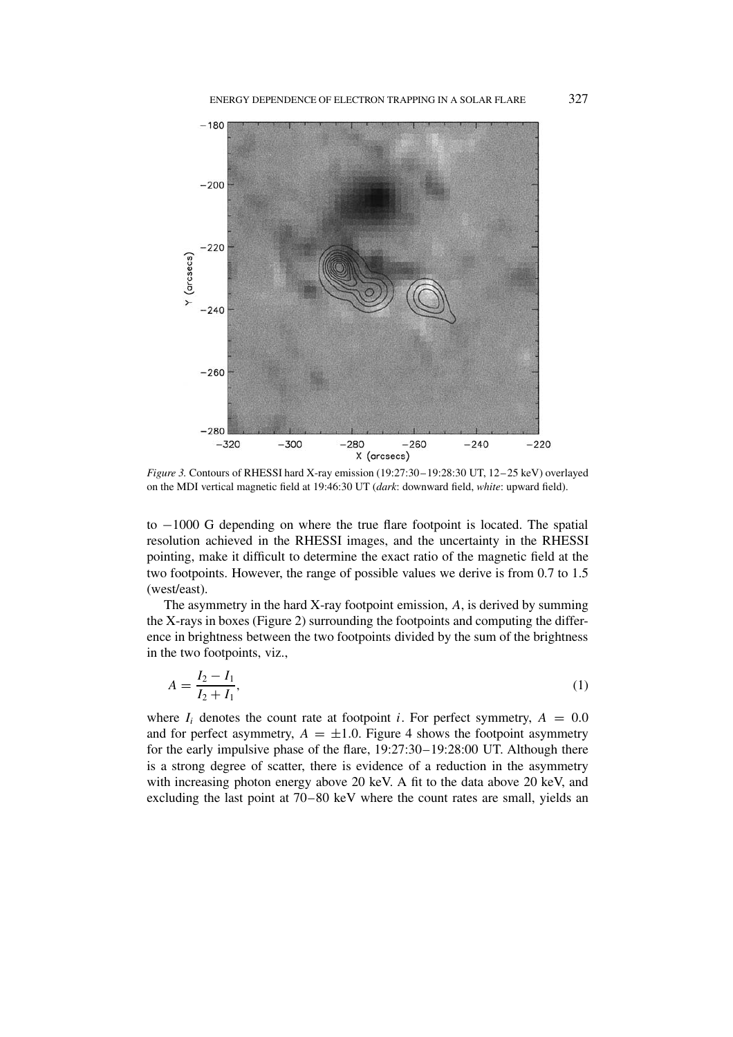

*Figure 3.* Contours of RHESSI hard X-ray emission (19:27:30–19:28:30 UT, 12–25 keV) overlayed on the MDI vertical magnetic field at 19:46:30 UT (*dark*: downward field, *white*: upward field).

to −1000 G depending on where the true flare footpoint is located. The spatial resolution achieved in the RHESSI images, and the uncertainty in the RHESSI pointing, make it difficult to determine the exact ratio of the magnetic field at the two footpoints. However, the range of possible values we derive is from 0.7 to 1.5 (west/east).

The asymmetry in the hard X-ray footpoint emission, *A*, is derived by summing the X-rays in boxes (Figure 2) surrounding the footpoints and computing the difference in brightness between the two footpoints divided by the sum of the brightness in the two footpoints, viz.,

$$
A = \frac{I_2 - I_1}{I_2 + I_1},\tag{1}
$$

where  $I_i$  denotes the count rate at footpoint *i*. For perfect symmetry,  $A = 0.0$ and for perfect asymmetry,  $A = \pm 1.0$ . Figure 4 shows the footpoint asymmetry for the early impulsive phase of the flare, 19:27:30–19:28:00 UT. Although there is a strong degree of scatter, there is evidence of a reduction in the asymmetry with increasing photon energy above 20 keV. A fit to the data above 20 keV, and excluding the last point at 70–80 keV where the count rates are small, yields an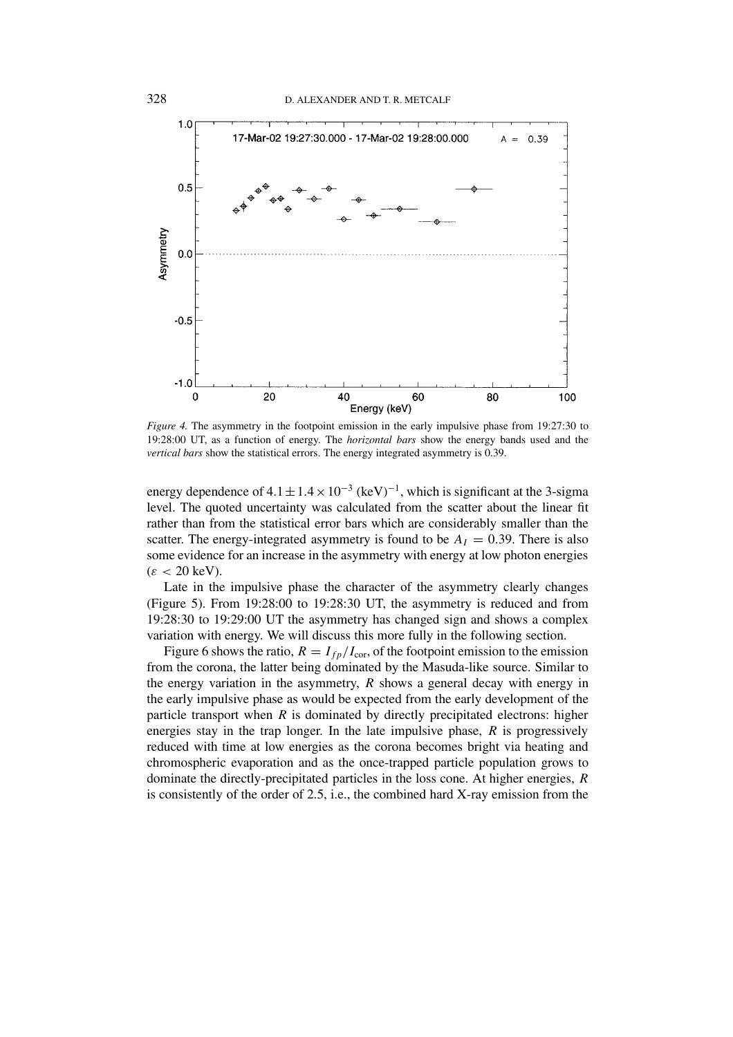

*Figure 4.* The asymmetry in the footpoint emission in the early impulsive phase from 19:27:30 to 19:28:00 UT, as a function of energy. The *horizontal bars* show the energy bands used and the *vertical bars* show the statistical errors. The energy integrated asymmetry is 0.39.

energy dependence of  $4.1 \pm 1.4 \times 10^{-3}$  (keV)<sup>-1</sup>, which is significant at the 3-sigma level. The quoted uncertainty was calculated from the scatter about the linear fit rather than from the statistical error bars which are considerably smaller than the scatter. The energy-integrated asymmetry is found to be  $A_I = 0.39$ . There is also some evidence for an increase in the asymmetry with energy at low photon energies (*ε <* 20 keV).

Late in the impulsive phase the character of the asymmetry clearly changes (Figure 5). From 19:28:00 to 19:28:30 UT, the asymmetry is reduced and from 19:28:30 to 19:29:00 UT the asymmetry has changed sign and shows a complex variation with energy. We will discuss this more fully in the following section.

Figure 6 shows the ratio,  $R = I_{fp}/I_{cor}$ , of the footpoint emission to the emission from the corona, the latter being dominated by the Masuda-like source. Similar to the energy variation in the asymmetry, *R* shows a general decay with energy in the early impulsive phase as would be expected from the early development of the particle transport when *R* is dominated by directly precipitated electrons: higher energies stay in the trap longer. In the late impulsive phase, *R* is progressively reduced with time at low energies as the corona becomes bright via heating and chromospheric evaporation and as the once-trapped particle population grows to dominate the directly-precipitated particles in the loss cone. At higher energies, *R* is consistently of the order of 2.5, i.e., the combined hard X-ray emission from the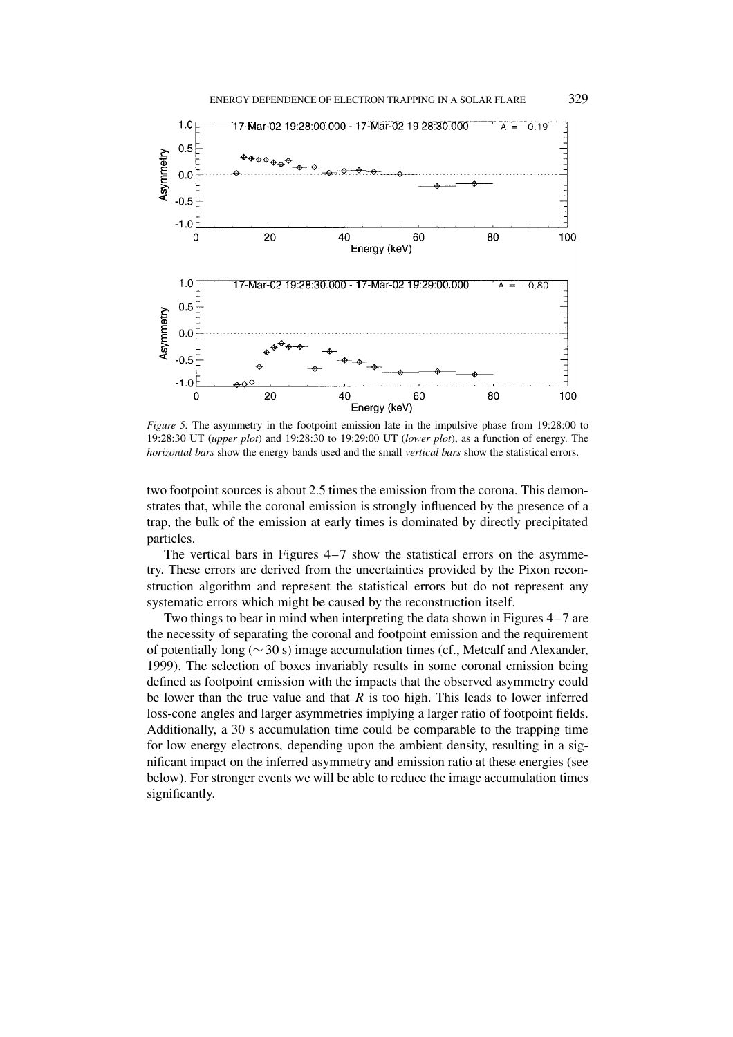

*Figure 5.* The asymmetry in the footpoint emission late in the impulsive phase from 19:28:00 to 19:28:30 UT (*upper plot*) and 19:28:30 to 19:29:00 UT (*lower plot*), as a function of energy. The *horizontal bars* show the energy bands used and the small *vertical bars* show the statistical errors.

two footpoint sources is about 2.5 times the emission from the corona. This demonstrates that, while the coronal emission is strongly influenced by the presence of a trap, the bulk of the emission at early times is dominated by directly precipitated particles.

The vertical bars in Figures 4–7 show the statistical errors on the asymmetry. These errors are derived from the uncertainties provided by the Pixon reconstruction algorithm and represent the statistical errors but do not represent any systematic errors which might be caused by the reconstruction itself.

Two things to bear in mind when interpreting the data shown in Figures 4–7 are the necessity of separating the coronal and footpoint emission and the requirement of potentially long (∼ 30 s) image accumulation times (cf., Metcalf and Alexander, 1999). The selection of boxes invariably results in some coronal emission being defined as footpoint emission with the impacts that the observed asymmetry could be lower than the true value and that *R* is too high. This leads to lower inferred loss-cone angles and larger asymmetries implying a larger ratio of footpoint fields. Additionally, a 30 s accumulation time could be comparable to the trapping time for low energy electrons, depending upon the ambient density, resulting in a significant impact on the inferred asymmetry and emission ratio at these energies (see below). For stronger events we will be able to reduce the image accumulation times significantly.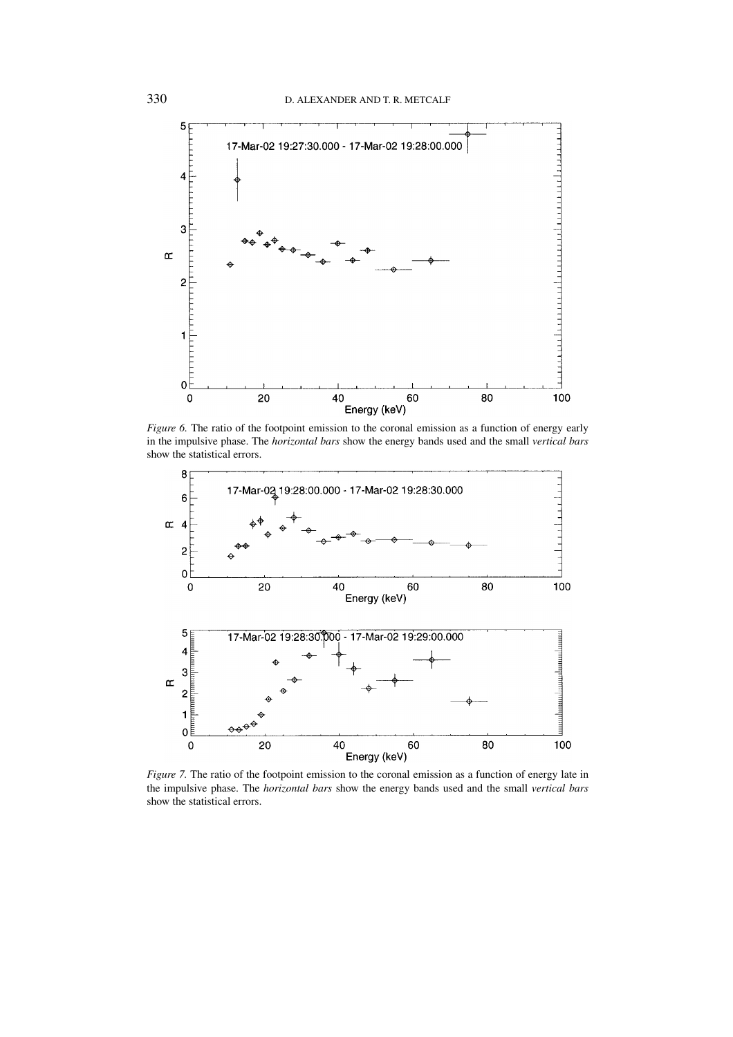

*Figure 6.* The ratio of the footpoint emission to the coronal emission as a function of energy early in the impulsive phase. The *horizontal bars* show the energy bands used and the small *vertical bars* show the statistical errors.



*Figure 7.* The ratio of the footpoint emission to the coronal emission as a function of energy late in the impulsive phase. The *horizontal bars* show the energy bands used and the small *vertical bars* show the statistical errors.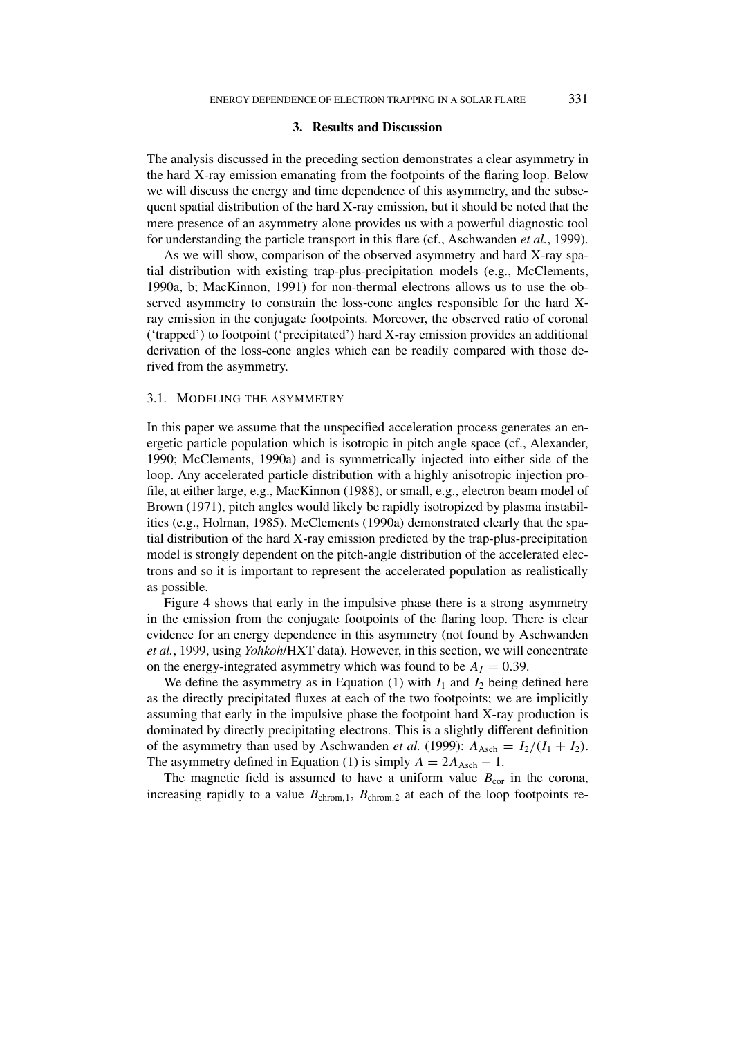# **3. Results and Discussion**

The analysis discussed in the preceding section demonstrates a clear asymmetry in the hard X-ray emission emanating from the footpoints of the flaring loop. Below we will discuss the energy and time dependence of this asymmetry, and the subsequent spatial distribution of the hard X-ray emission, but it should be noted that the mere presence of an asymmetry alone provides us with a powerful diagnostic tool for understanding the particle transport in this flare (cf., Aschwanden *et al.*, 1999).

As we will show, comparison of the observed asymmetry and hard X-ray spatial distribution with existing trap-plus-precipitation models (e.g., McClements, 1990a, b; MacKinnon, 1991) for non-thermal electrons allows us to use the observed asymmetry to constrain the loss-cone angles responsible for the hard Xray emission in the conjugate footpoints. Moreover, the observed ratio of coronal ('trapped') to footpoint ('precipitated') hard X-ray emission provides an additional derivation of the loss-cone angles which can be readily compared with those derived from the asymmetry.

### 3.1. MODELING THE ASYMMETRY

In this paper we assume that the unspecified acceleration process generates an energetic particle population which is isotropic in pitch angle space (cf., Alexander, 1990; McClements, 1990a) and is symmetrically injected into either side of the loop. Any accelerated particle distribution with a highly anisotropic injection profile, at either large, e.g., MacKinnon (1988), or small, e.g., electron beam model of Brown (1971), pitch angles would likely be rapidly isotropized by plasma instabilities (e.g., Holman, 1985). McClements (1990a) demonstrated clearly that the spatial distribution of the hard X-ray emission predicted by the trap-plus-precipitation model is strongly dependent on the pitch-angle distribution of the accelerated electrons and so it is important to represent the accelerated population as realistically as possible.

Figure 4 shows that early in the impulsive phase there is a strong asymmetry in the emission from the conjugate footpoints of the flaring loop. There is clear evidence for an energy dependence in this asymmetry (not found by Aschwanden *et al.*, 1999, using *Yohkoh*/HXT data). However, in this section, we will concentrate on the energy-integrated asymmetry which was found to be  $A<sub>I</sub> = 0.39$ .

We define the asymmetry as in Equation (1) with  $I_1$  and  $I_2$  being defined here as the directly precipitated fluxes at each of the two footpoints; we are implicitly assuming that early in the impulsive phase the footpoint hard X-ray production is dominated by directly precipitating electrons. This is a slightly different definition of the asymmetry than used by Aschwanden *et al.* (1999):  $A_{\text{Asch}} = I_2/(I_1 + I_2)$ . The asymmetry defined in Equation (1) is simply  $A = 2A_{\text{Asch}} - 1$ .

The magnetic field is assumed to have a uniform value  $B_{\text{cor}}$  in the corona, increasing rapidly to a value  $B_{\text{chrom,1}}$ ,  $B_{\text{chrom,2}}$  at each of the loop footpoints re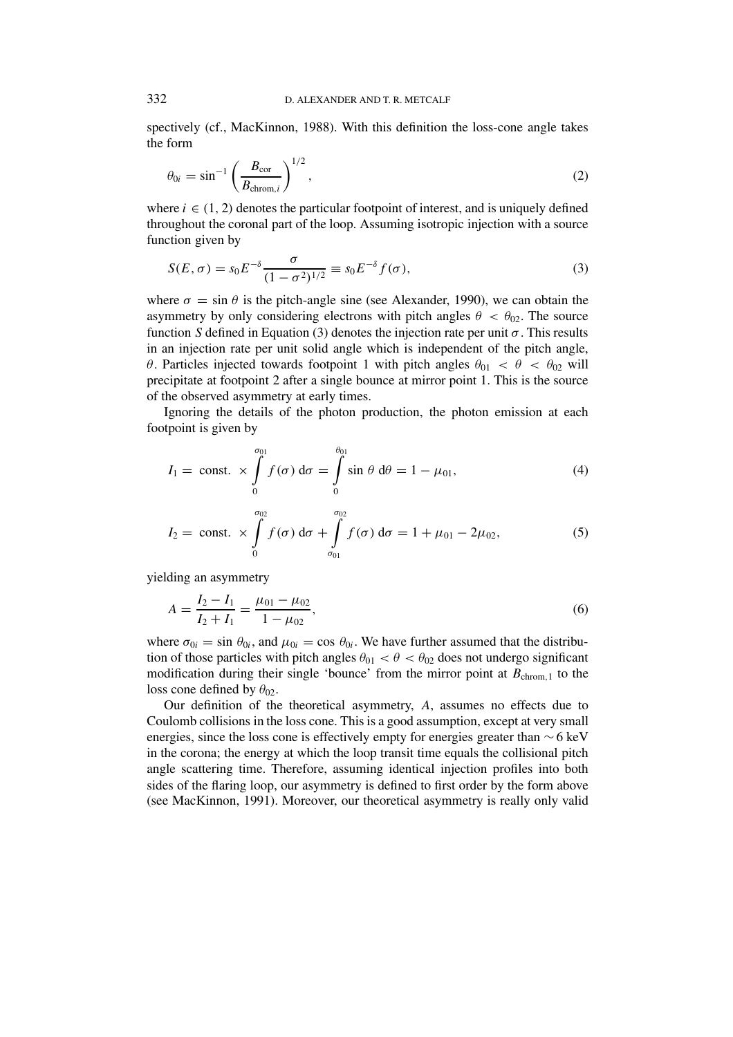spectively (cf., MacKinnon, 1988). With this definition the loss-cone angle takes the form

$$
\theta_{0i} = \sin^{-1} \left( \frac{B_{\text{cor}}}{B_{\text{chrom},i}} \right)^{1/2},\tag{2}
$$

where  $i \in (1, 2)$  denotes the particular footpoint of interest, and is uniquely defined throughout the coronal part of the loop. Assuming isotropic injection with a source function given by

$$
S(E, \sigma) = s_0 E^{-\delta} \frac{\sigma}{(1 - \sigma^2)^{1/2}} \equiv s_0 E^{-\delta} f(\sigma),
$$
 (3)

where  $\sigma = \sin \theta$  is the pitch-angle sine (see Alexander, 1990), we can obtain the asymmetry by only considering electrons with pitch angles  $\theta < \theta_{02}$ . The source function *S* defined in Equation (3) denotes the injection rate per unit  $\sigma$ . This results in an injection rate per unit solid angle which is independent of the pitch angle, *θ*. Particles injected towards footpoint 1 with pitch angles  $\theta_{01} < \theta < \theta_{02}$  will precipitate at footpoint 2 after a single bounce at mirror point 1. This is the source of the observed asymmetry at early times.

Ignoring the details of the photon production, the photon emission at each footpoint is given by

$$
I_1 = \text{const.} \times \int\limits_0^{\sigma_{01}} f(\sigma) \, \mathrm{d}\sigma = \int\limits_0^{\theta_{01}} \sin \theta \, \mathrm{d}\theta = 1 - \mu_{01}, \tag{4}
$$

$$
I_2 = \text{const.} \times \int_{0}^{\sigma_{02}} f(\sigma) \, d\sigma + \int_{\sigma_{01}}^{\sigma_{02}} f(\sigma) \, d\sigma = 1 + \mu_{01} - 2\mu_{02}, \tag{5}
$$

yielding an asymmetry

$$
A = \frac{I_2 - I_1}{I_2 + I_1} = \frac{\mu_{01} - \mu_{02}}{1 - \mu_{02}},
$$
\n<sup>(6)</sup>

where  $\sigma_{0i} = \sin \theta_{0i}$ , and  $\mu_{0i} = \cos \theta_{0i}$ . We have further assumed that the distribution of those particles with pitch angles  $\theta_{01} < \theta < \theta_{02}$  does not undergo significant modification during their single 'bounce' from the mirror point at  $B_{\text{chrom,1}}$  to the loss cone defined by  $\theta_{02}$ .

Our definition of the theoretical asymmetry, *A*, assumes no effects due to Coulomb collisions in the loss cone. This is a good assumption, except at very small energies, since the loss cone is effectively empty for energies greater than ∼ 6 keV in the corona; the energy at which the loop transit time equals the collisional pitch angle scattering time. Therefore, assuming identical injection profiles into both sides of the flaring loop, our asymmetry is defined to first order by the form above (see MacKinnon, 1991). Moreover, our theoretical asymmetry is really only valid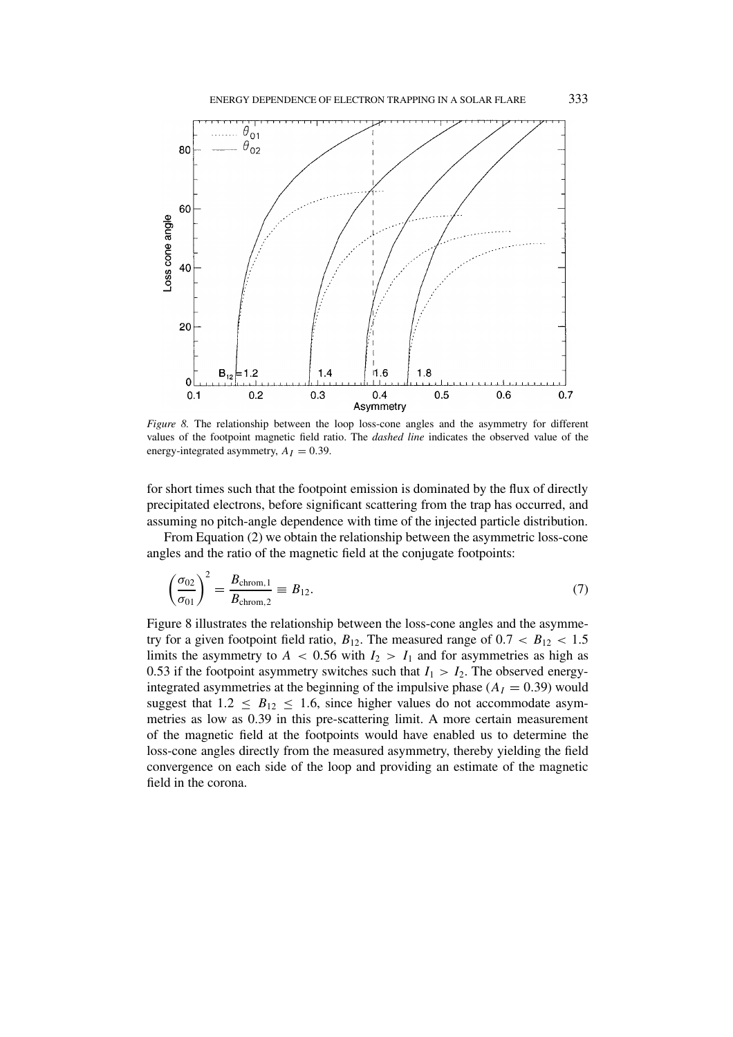

*Figure 8.* The relationship between the loop loss-cone angles and the asymmetry for different values of the footpoint magnetic field ratio. The *dashed line* indicates the observed value of the energy-integrated asymmetry,  $A_I = 0.39$ .

for short times such that the footpoint emission is dominated by the flux of directly precipitated electrons, before significant scattering from the trap has occurred, and assuming no pitch-angle dependence with time of the injected particle distribution.

From Equation (2) we obtain the relationship between the asymmetric loss-cone angles and the ratio of the magnetic field at the conjugate footpoints:

$$
\left(\frac{\sigma_{02}}{\sigma_{01}}\right)^2 = \frac{B_{\text{chrom},1}}{B_{\text{chrom},2}} \equiv B_{12}.\tag{7}
$$

Figure 8 illustrates the relationship between the loss-cone angles and the asymmetry for a given footpoint field ratio,  $B_{12}$ . The measured range of  $0.7 < B_{12} < 1.5$ limits the asymmetry to  $A < 0.56$  with  $I_2 > I_1$  and for asymmetries as high as 0.53 if the footpoint asymmetry switches such that  $I_1 > I_2$ . The observed energyintegrated asymmetries at the beginning of the impulsive phase  $(A<sub>I</sub> = 0.39)$  would suggest that  $1.2 \leq B_{12} \leq 1.6$ , since higher values do not accommodate asymmetries as low as 0.39 in this pre-scattering limit. A more certain measurement of the magnetic field at the footpoints would have enabled us to determine the loss-cone angles directly from the measured asymmetry, thereby yielding the field convergence on each side of the loop and providing an estimate of the magnetic field in the corona.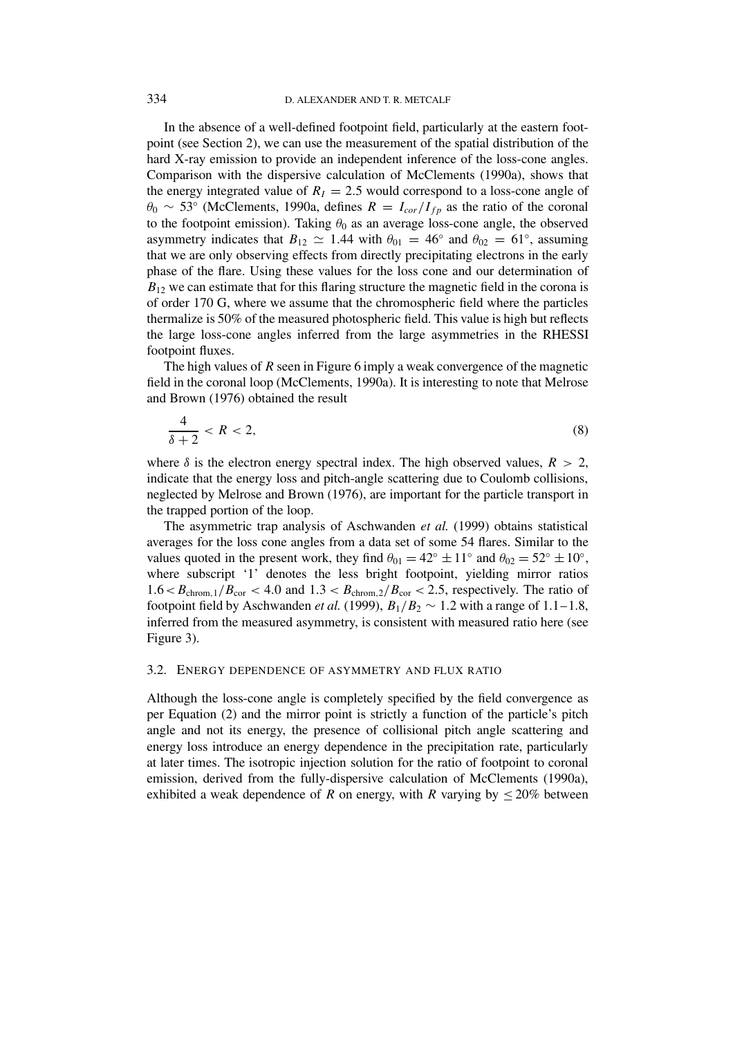In the absence of a well-defined footpoint field, particularly at the eastern footpoint (see Section 2), we can use the measurement of the spatial distribution of the hard X-ray emission to provide an independent inference of the loss-cone angles. Comparison with the dispersive calculation of McClements (1990a), shows that the energy integrated value of  $R<sub>I</sub> = 2.5$  would correspond to a loss-cone angle of  $\theta_0 \sim 53^\circ$  (McClements, 1990a, defines  $R = I_{cor}/I_{fp}$  as the ratio of the coronal to the footpoint emission). Taking  $\theta_0$  as an average loss-cone angle, the observed asymmetry indicates that  $B_{12} \simeq 1.44$  with  $\theta_{01} = 46°$  and  $\theta_{02} = 61°$ , assuming that we are only observing effects from directly precipitating electrons in the early phase of the flare. Using these values for the loss cone and our determination of  $B_{12}$  we can estimate that for this flaring structure the magnetic field in the corona is of order 170 G, where we assume that the chromospheric field where the particles thermalize is 50% of the measured photospheric field. This value is high but reflects the large loss-cone angles inferred from the large asymmetries in the RHESSI footpoint fluxes.

The high values of *R* seen in Figure 6 imply a weak convergence of the magnetic field in the coronal loop (McClements, 1990a). It is interesting to note that Melrose and Brown (1976) obtained the result

$$
\frac{4}{\delta+2} < R < 2,\tag{8}
$$

where  $\delta$  is the electron energy spectral index. The high observed values,  $R > 2$ , indicate that the energy loss and pitch-angle scattering due to Coulomb collisions, neglected by Melrose and Brown (1976), are important for the particle transport in the trapped portion of the loop.

The asymmetric trap analysis of Aschwanden *et al.* (1999) obtains statistical averages for the loss cone angles from a data set of some 54 flares. Similar to the values quoted in the present work, they find  $\theta_{01} = 42^\circ \pm 11^\circ$  and  $\theta_{02} = 52^\circ \pm 10^\circ$ , where subscript '1' denotes the less bright footpoint, yielding mirror ratios  $1.6 < B_{\text{chrom},1}/B_{\text{cor}} < 4.0$  and  $1.3 < B_{\text{chrom},2}/B_{\text{cor}} < 2.5$ , respectively. The ratio of footpoint field by Aschwanden *et al.* (1999),  $B_1/B_2 \sim 1.2$  with a range of 1.1–1.8, inferred from the measured asymmetry, is consistent with measured ratio here (see Figure 3).

#### 3.2. ENERGY DEPENDENCE OF ASYMMETRY AND FLUX RATIO

Although the loss-cone angle is completely specified by the field convergence as per Equation (2) and the mirror point is strictly a function of the particle's pitch angle and not its energy, the presence of collisional pitch angle scattering and energy loss introduce an energy dependence in the precipitation rate, particularly at later times. The isotropic injection solution for the ratio of footpoint to coronal emission, derived from the fully-dispersive calculation of McClements (1990a), exhibited a weak dependence of *R* on energy, with *R* varying by  $\leq 20\%$  between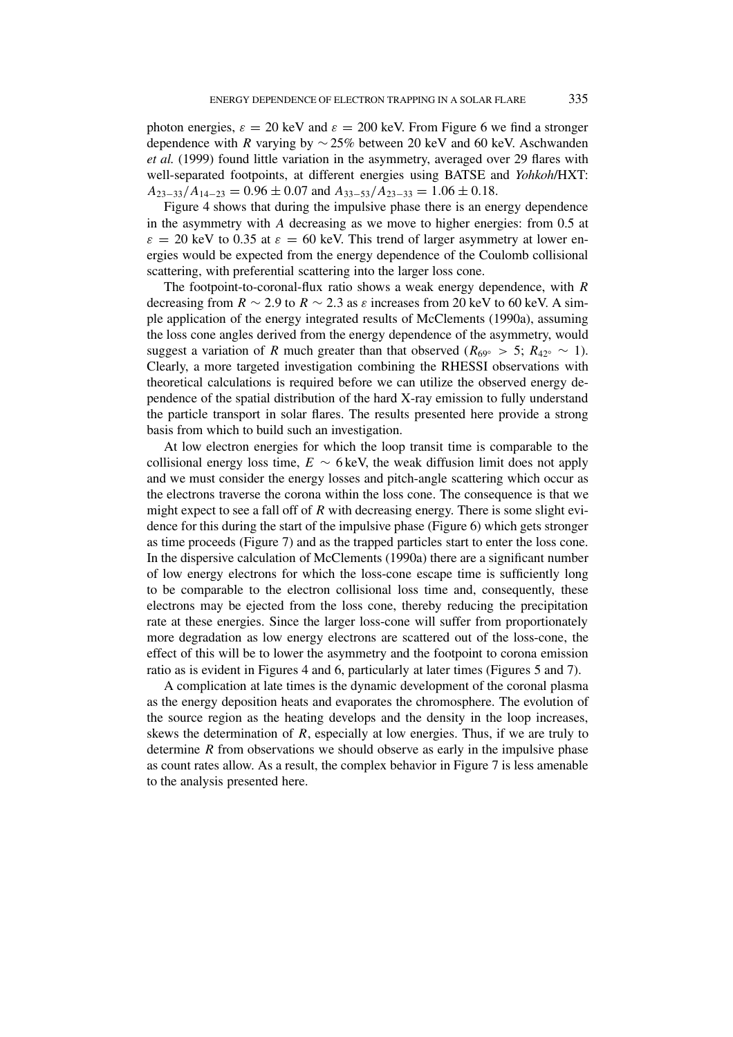photon energies,  $\varepsilon = 20$  keV and  $\varepsilon = 200$  keV. From Figure 6 we find a stronger dependence with *R* varying by  $\sim$  25% between 20 keV and 60 keV. Aschwanden *et al.* (1999) found little variation in the asymmetry, averaged over 29 flares with well-separated footpoints, at different energies using BATSE and *Yohkoh*/HXT:  $A_{23-33}/A_{14-23} = 0.96 \pm 0.07$  and  $A_{33-53}/A_{23-33} = 1.06 \pm 0.18$ .

Figure 4 shows that during the impulsive phase there is an energy dependence in the asymmetry with *A* decreasing as we move to higher energies: from 0.5 at  $\varepsilon = 20$  keV to 0.35 at  $\varepsilon = 60$  keV. This trend of larger asymmetry at lower energies would be expected from the energy dependence of the Coulomb collisional scattering, with preferential scattering into the larger loss cone.

The footpoint-to-coronal-flux ratio shows a weak energy dependence, with *R* decreasing from  $R \sim 2.9$  to  $R \sim 2.3$  as  $\varepsilon$  increases from 20 keV to 60 keV. A simple application of the energy integrated results of McClements (1990a), assuming the loss cone angles derived from the energy dependence of the asymmetry, would suggest a variation of *R* much greater than that observed ( $R_{69}$ ° > 5;  $R_{42$ ° ∼ 1). Clearly, a more targeted investigation combining the RHESSI observations with theoretical calculations is required before we can utilize the observed energy dependence of the spatial distribution of the hard X-ray emission to fully understand the particle transport in solar flares. The results presented here provide a strong basis from which to build such an investigation.

At low electron energies for which the loop transit time is comparable to the collisional energy loss time,  $E \sim 6 \,\text{keV}$ , the weak diffusion limit does not apply and we must consider the energy losses and pitch-angle scattering which occur as the electrons traverse the corona within the loss cone. The consequence is that we might expect to see a fall off of *R* with decreasing energy. There is some slight evidence for this during the start of the impulsive phase (Figure 6) which gets stronger as time proceeds (Figure 7) and as the trapped particles start to enter the loss cone. In the dispersive calculation of McClements (1990a) there are a significant number of low energy electrons for which the loss-cone escape time is sufficiently long to be comparable to the electron collisional loss time and, consequently, these electrons may be ejected from the loss cone, thereby reducing the precipitation rate at these energies. Since the larger loss-cone will suffer from proportionately more degradation as low energy electrons are scattered out of the loss-cone, the effect of this will be to lower the asymmetry and the footpoint to corona emission ratio as is evident in Figures 4 and 6, particularly at later times (Figures 5 and 7).

A complication at late times is the dynamic development of the coronal plasma as the energy deposition heats and evaporates the chromosphere. The evolution of the source region as the heating develops and the density in the loop increases, skews the determination of *R*, especially at low energies. Thus, if we are truly to determine *R* from observations we should observe as early in the impulsive phase as count rates allow. As a result, the complex behavior in Figure 7 is less amenable to the analysis presented here.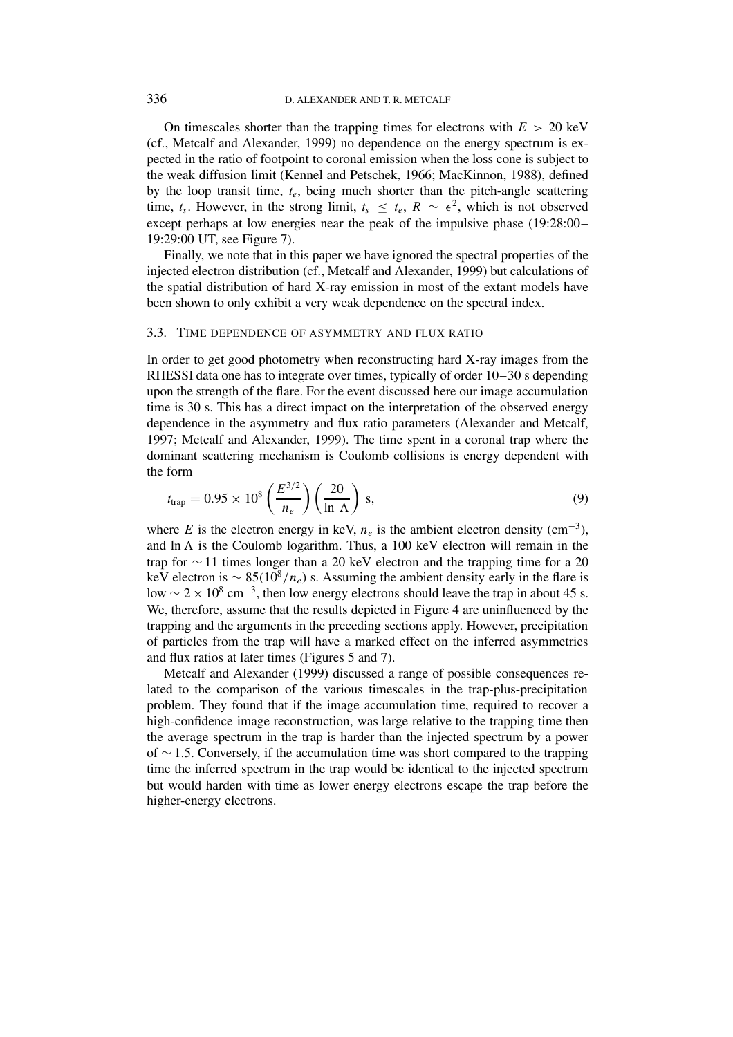On timescales shorter than the trapping times for electrons with  $E > 20 \text{ keV}$ (cf., Metcalf and Alexander, 1999) no dependence on the energy spectrum is expected in the ratio of footpoint to coronal emission when the loss cone is subject to the weak diffusion limit (Kennel and Petschek, 1966; MacKinnon, 1988), defined by the loop transit time, *te*, being much shorter than the pitch-angle scattering time,  $t_s$ . However, in the strong limit,  $t_s \leq t_e$ ,  $R \sim \epsilon^2$ , which is not observed except perhaps at low energies near the peak of the impulsive phase (19:28:00– 19:29:00 UT, see Figure 7).

Finally, we note that in this paper we have ignored the spectral properties of the injected electron distribution (cf., Metcalf and Alexander, 1999) but calculations of the spatial distribution of hard X-ray emission in most of the extant models have been shown to only exhibit a very weak dependence on the spectral index.

### 3.3. TIME DEPENDENCE OF ASYMMETRY AND FLUX RATIO

In order to get good photometry when reconstructing hard X-ray images from the RHESSI data one has to integrate over times, typically of order 10–30 s depending upon the strength of the flare. For the event discussed here our image accumulation time is 30 s. This has a direct impact on the interpretation of the observed energy dependence in the asymmetry and flux ratio parameters (Alexander and Metcalf, 1997; Metcalf and Alexander, 1999). The time spent in a coronal trap where the dominant scattering mechanism is Coulomb collisions is energy dependent with the form

$$
t_{\rm trap} = 0.95 \times 10^8 \left(\frac{E^{3/2}}{n_e}\right) \left(\frac{20}{\ln \Lambda}\right) \text{ s},\tag{9}
$$

where *E* is the electron energy in keV,  $n_e$  is the ambient electron density (cm<sup>-3</sup>), and  $\ln \Lambda$  is the Coulomb logarithm. Thus, a 100 keV electron will remain in the trap for ∼ 11 times longer than a 20 keV electron and the trapping time for a 20 keV electron is  $\sim 85(10^8/n_e)$  s. Assuming the ambient density early in the flare is low  $\sim$  2 × 10<sup>8</sup> cm<sup>-3</sup>, then low energy electrons should leave the trap in about 45 s. We, therefore, assume that the results depicted in Figure 4 are uninfluenced by the trapping and the arguments in the preceding sections apply. However, precipitation of particles from the trap will have a marked effect on the inferred asymmetries and flux ratios at later times (Figures 5 and 7).

Metcalf and Alexander (1999) discussed a range of possible consequences related to the comparison of the various timescales in the trap-plus-precipitation problem. They found that if the image accumulation time, required to recover a high-confidence image reconstruction, was large relative to the trapping time then the average spectrum in the trap is harder than the injected spectrum by a power of ∼ 1.5. Conversely, if the accumulation time was short compared to the trapping time the inferred spectrum in the trap would be identical to the injected spectrum but would harden with time as lower energy electrons escape the trap before the higher-energy electrons.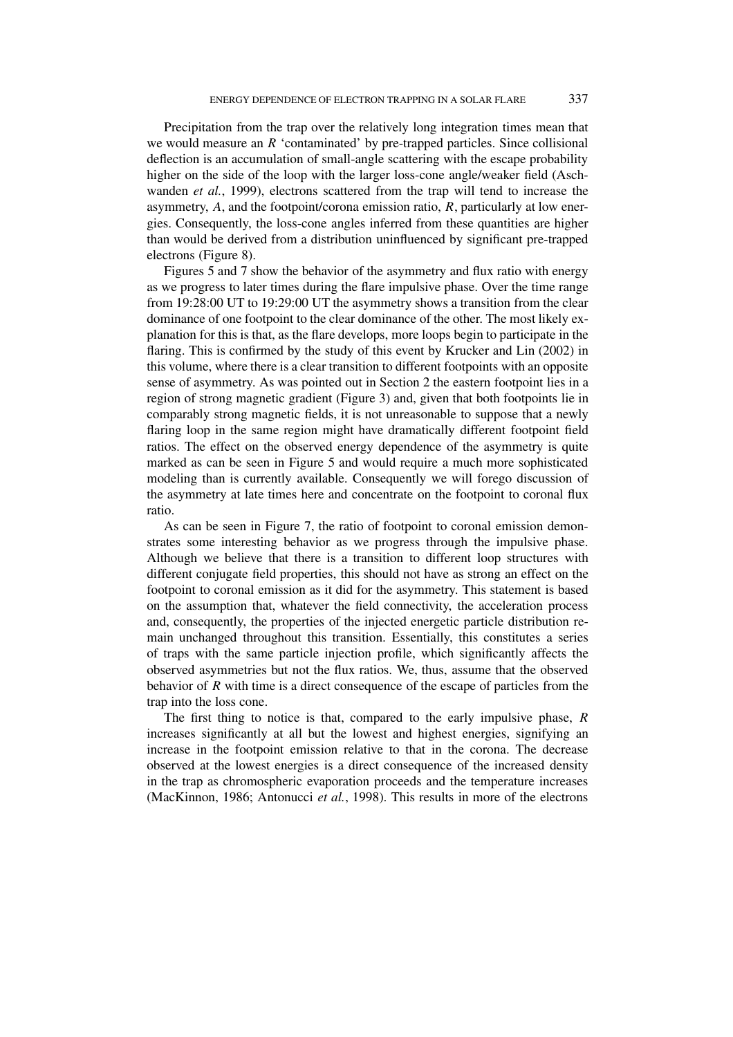Precipitation from the trap over the relatively long integration times mean that we would measure an *R* 'contaminated' by pre-trapped particles. Since collisional deflection is an accumulation of small-angle scattering with the escape probability higher on the side of the loop with the larger loss-cone angle/weaker field (Aschwanden *et al.*, 1999), electrons scattered from the trap will tend to increase the asymmetry, *A*, and the footpoint/corona emission ratio, *R*, particularly at low energies. Consequently, the loss-cone angles inferred from these quantities are higher than would be derived from a distribution uninfluenced by significant pre-trapped electrons (Figure 8).

Figures 5 and 7 show the behavior of the asymmetry and flux ratio with energy as we progress to later times during the flare impulsive phase. Over the time range from 19:28:00 UT to 19:29:00 UT the asymmetry shows a transition from the clear dominance of one footpoint to the clear dominance of the other. The most likely explanation for this is that, as the flare develops, more loops begin to participate in the flaring. This is confirmed by the study of this event by Krucker and Lin (2002) in this volume, where there is a clear transition to different footpoints with an opposite sense of asymmetry. As was pointed out in Section 2 the eastern footpoint lies in a region of strong magnetic gradient (Figure 3) and, given that both footpoints lie in comparably strong magnetic fields, it is not unreasonable to suppose that a newly flaring loop in the same region might have dramatically different footpoint field ratios. The effect on the observed energy dependence of the asymmetry is quite marked as can be seen in Figure 5 and would require a much more sophisticated modeling than is currently available. Consequently we will forego discussion of the asymmetry at late times here and concentrate on the footpoint to coronal flux ratio.

As can be seen in Figure 7, the ratio of footpoint to coronal emission demonstrates some interesting behavior as we progress through the impulsive phase. Although we believe that there is a transition to different loop structures with different conjugate field properties, this should not have as strong an effect on the footpoint to coronal emission as it did for the asymmetry. This statement is based on the assumption that, whatever the field connectivity, the acceleration process and, consequently, the properties of the injected energetic particle distribution remain unchanged throughout this transition. Essentially, this constitutes a series of traps with the same particle injection profile, which significantly affects the observed asymmetries but not the flux ratios. We, thus, assume that the observed behavior of *R* with time is a direct consequence of the escape of particles from the trap into the loss cone.

The first thing to notice is that, compared to the early impulsive phase, *R* increases significantly at all but the lowest and highest energies, signifying an increase in the footpoint emission relative to that in the corona. The decrease observed at the lowest energies is a direct consequence of the increased density in the trap as chromospheric evaporation proceeds and the temperature increases (MacKinnon, 1986; Antonucci *et al.*, 1998). This results in more of the electrons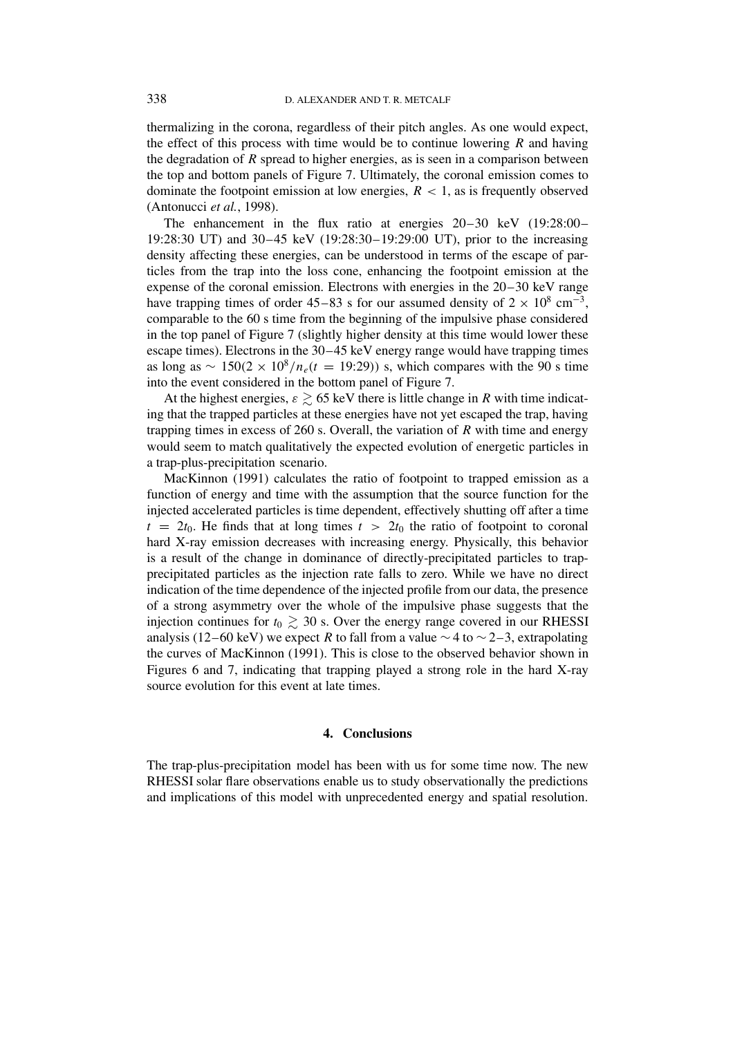thermalizing in the corona, regardless of their pitch angles. As one would expect, the effect of this process with time would be to continue lowering *R* and having the degradation of *R* spread to higher energies, as is seen in a comparison between the top and bottom panels of Figure 7. Ultimately, the coronal emission comes to dominate the footpoint emission at low energies,  $R < 1$ , as is frequently observed (Antonucci *et al.*, 1998).

The enhancement in the flux ratio at energies 20–30 keV (19:28:00– 19:28:30 UT) and 30–45 keV (19:28:30–19:29:00 UT), prior to the increasing density affecting these energies, can be understood in terms of the escape of particles from the trap into the loss cone, enhancing the footpoint emission at the expense of the coronal emission. Electrons with energies in the 20–30 keV range have trapping times of order 45–83 s for our assumed density of  $2 \times 10^8$  cm<sup>-3</sup>, comparable to the 60 s time from the beginning of the impulsive phase considered in the top panel of Figure 7 (slightly higher density at this time would lower these escape times). Electrons in the 30–45 keV energy range would have trapping times as long as  $\sim 150(2 \times 10^8/n_e(t=19:29))$  s, which compares with the 90 s time into the event considered in the bottom panel of Figure 7.

At the highest energies,  $\varepsilon \ge 65$  keV there is little change in *R* with time indicating that the trapped particles at these energies have not yet escaped the trap, having trapping times in excess of 260 s. Overall, the variation of *R* with time and energy would seem to match qualitatively the expected evolution of energetic particles in a trap-plus-precipitation scenario.

MacKinnon (1991) calculates the ratio of footpoint to trapped emission as a function of energy and time with the assumption that the source function for the injected accelerated particles is time dependent, effectively shutting off after a time  $t = 2t_0$ . He finds that at long times  $t > 2t_0$  the ratio of footpoint to coronal hard X-ray emission decreases with increasing energy. Physically, this behavior is a result of the change in dominance of directly-precipitated particles to trapprecipitated particles as the injection rate falls to zero. While we have no direct indication of the time dependence of the injected profile from our data, the presence of a strong asymmetry over the whole of the impulsive phase suggests that the injection continues for  $t_0 \gtrsim 30$  s. Over the energy range covered in our RHESSI analysis (12–60 keV) we expect *R* to fall from a value  $\sim$  4 to  $\sim$  2–3, extrapolating the curves of MacKinnon (1991). This is close to the observed behavior shown in Figures 6 and 7, indicating that trapping played a strong role in the hard X-ray source evolution for this event at late times.

# **4. Conclusions**

The trap-plus-precipitation model has been with us for some time now. The new RHESSI solar flare observations enable us to study observationally the predictions and implications of this model with unprecedented energy and spatial resolution.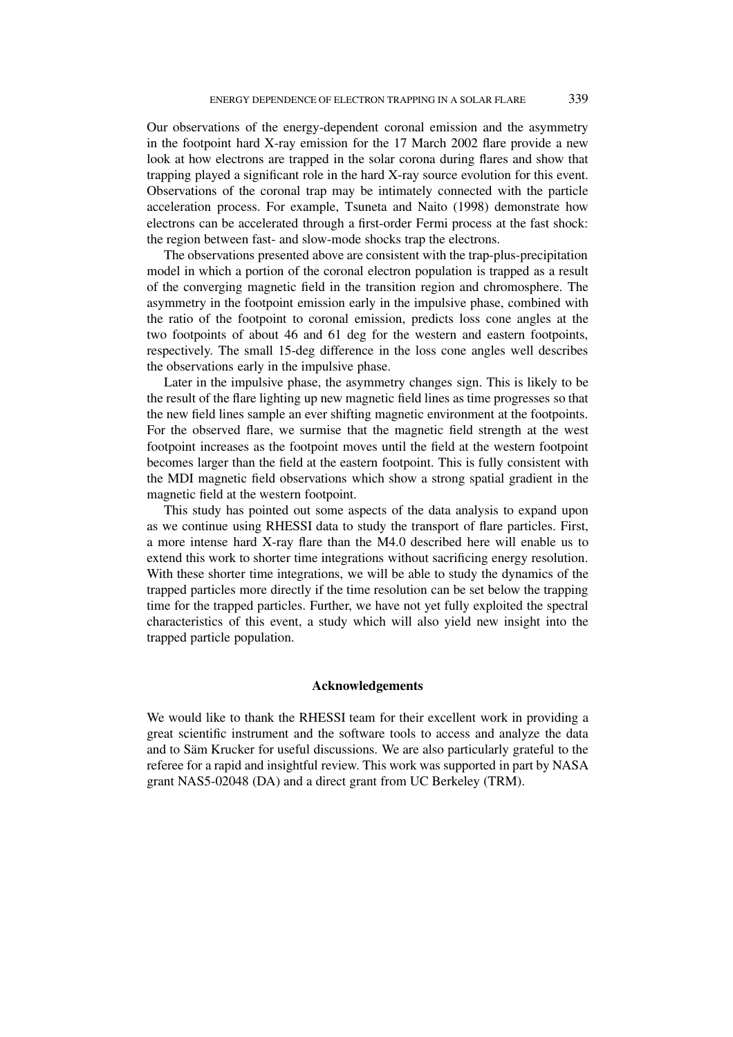Our observations of the energy-dependent coronal emission and the asymmetry in the footpoint hard X-ray emission for the 17 March 2002 flare provide a new look at how electrons are trapped in the solar corona during flares and show that trapping played a significant role in the hard X-ray source evolution for this event. Observations of the coronal trap may be intimately connected with the particle acceleration process. For example, Tsuneta and Naito (1998) demonstrate how electrons can be accelerated through a first-order Fermi process at the fast shock: the region between fast- and slow-mode shocks trap the electrons.

The observations presented above are consistent with the trap-plus-precipitation model in which a portion of the coronal electron population is trapped as a result of the converging magnetic field in the transition region and chromosphere. The asymmetry in the footpoint emission early in the impulsive phase, combined with the ratio of the footpoint to coronal emission, predicts loss cone angles at the two footpoints of about 46 and 61 deg for the western and eastern footpoints, respectively. The small 15-deg difference in the loss cone angles well describes the observations early in the impulsive phase.

Later in the impulsive phase, the asymmetry changes sign. This is likely to be the result of the flare lighting up new magnetic field lines as time progresses so that the new field lines sample an ever shifting magnetic environment at the footpoints. For the observed flare, we surmise that the magnetic field strength at the west footpoint increases as the footpoint moves until the field at the western footpoint becomes larger than the field at the eastern footpoint. This is fully consistent with the MDI magnetic field observations which show a strong spatial gradient in the magnetic field at the western footpoint.

This study has pointed out some aspects of the data analysis to expand upon as we continue using RHESSI data to study the transport of flare particles. First, a more intense hard X-ray flare than the M4.0 described here will enable us to extend this work to shorter time integrations without sacrificing energy resolution. With these shorter time integrations, we will be able to study the dynamics of the trapped particles more directly if the time resolution can be set below the trapping time for the trapped particles. Further, we have not yet fully exploited the spectral characteristics of this event, a study which will also yield new insight into the trapped particle population.

### **Acknowledgements**

We would like to thank the RHESSI team for their excellent work in providing a great scientific instrument and the software tools to access and analyze the data and to Säm Krucker for useful discussions. We are also particularly grateful to the referee for a rapid and insightful review. This work was supported in part by NASA grant NAS5-02048 (DA) and a direct grant from UC Berkeley (TRM).